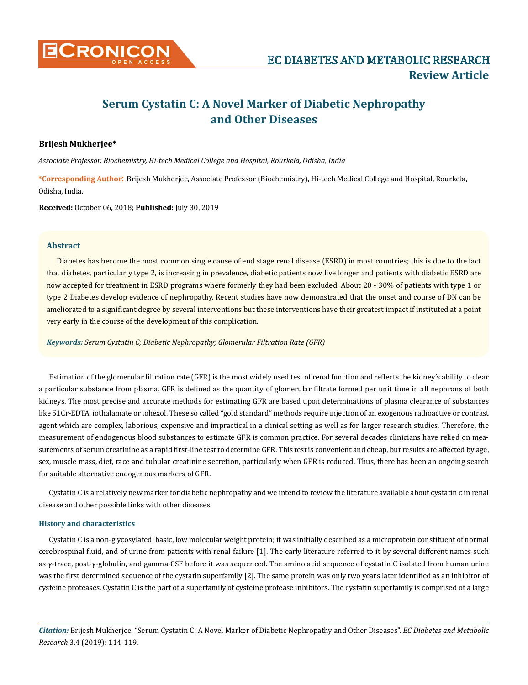

# **Serum Cystatin C: A Novel Marker of Diabetic Nephropathy and Other Diseases**

# **Brijesh Mukherjee\***

*Associate Professor, Biochemistry, Hi-tech Medical College and Hospital, Rourkela, Odisha, India*

**\*Corresponding Author**: Brijesh Mukherjee, Associate Professor (Biochemistry), Hi-tech Medical College and Hospital, Rourkela, Odisha, India.

**Received:** October 06, 2018; **Published:** July 30, 2019

## **Abstract**

Diabetes has become the most common single cause of end stage renal disease (ESRD) in most countries; this is due to the fact that diabetes, particularly type 2, is increasing in prevalence, diabetic patients now live longer and patients with diabetic ESRD are now accepted for treatment in ESRD programs where formerly they had been excluded. About 20 - 30% of patients with type 1 or type 2 Diabetes develop evidence of nephropathy. Recent studies have now demonstrated that the onset and course of DN can be ameliorated to a significant degree by several interventions but these interventions have their greatest impact if instituted at a point very early in the course of the development of this complication.

*Keywords: Serum Cystatin C; Diabetic Nephropathy; Glomerular Filtration Rate (GFR)*

Estimation of the glomerular filtration rate (GFR) is the most widely used test of renal function and reflects the kidney's ability to clear a particular substance from plasma. GFR is defined as the quantity of glomerular filtrate formed per unit time in all nephrons of both kidneys. The most precise and accurate methods for estimating GFR are based upon determinations of plasma clearance of substances like 51Cr-EDTA, iothalamate or iohexol. These so called "gold standard" methods require injection of an exogenous radioactive or contrast agent which are complex, laborious, expensive and impractical in a clinical setting as well as for larger research studies. Therefore, the measurement of endogenous blood substances to estimate GFR is common practice. For several decades clinicians have relied on measurements of serum creatinine as a rapid first-line test to determine GFR. This test is convenient and cheap, but results are affected by age, sex, muscle mass, diet, race and tubular creatinine secretion, particularly when GFR is reduced. Thus, there has been an ongoing search for suitable alternative endogenous markers of GFR.

Cystatin C is a relatively new marker for diabetic nephropathy and we intend to review the literature available about cystatin c in renal disease and other possible links with other diseases.

## **History and characteristics**

Cystatin C is a non-glycosylated, basic, low molecular weight protein; it was initially described as a microprotein constituent of normal cerebrospinal fluid, and of urine from patients with renal failure [1]. The early literature referred to it by several different names such as γ-trace, post-γ-globulin, and gamma-CSF before it was sequenced. The amino acid sequence of cystatin C isolated from human urine was the first determined sequence of the cystatin superfamily [2]. The same protein was only two years later identified as an inhibitor of cysteine proteases. Cystatin C is the part of a superfamily of cysteine protease inhibitors. The cystatin superfamily is comprised of a large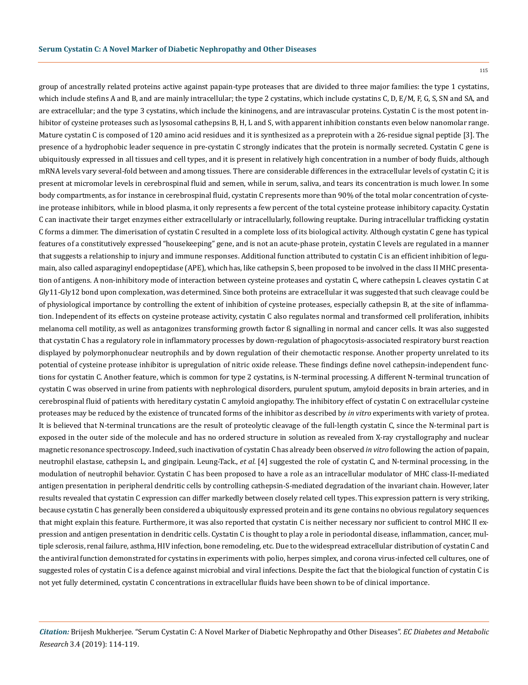115

group of ancestrally related proteins active against papain-type proteases that are divided to three major families: the type 1 cystatins, which include stefins A and B, and are mainly intracellular; the type 2 cystatins, which include cystatins C, D, E/M, F, G, S, SN and SA, and are extracellular; and the type 3 cystatins, which include the kininogens, and are intravascular proteins. Cystatin C is the most potent inhibitor of cysteine proteases such as lysosomal cathepsins B, H, L and S, with apparent inhibition constants even below nanomolar range. Mature cystatin C is composed of 120 amino acid residues and it is synthesized as a preprotein with a 26-residue signal peptide [3]. The presence of a hydrophobic leader sequence in pre-cystatin C strongly indicates that the protein is normally secreted. Cystatin C gene is ubiquitously expressed in all tissues and cell types, and it is present in relatively high concentration in a number of body fluids, although mRNA levels vary several-fold between and among tissues. There are considerable differences in the extracellular levels of cystatin C; it is present at micromolar levels in cerebrospinal fluid and semen, while in serum, saliva, and tears its concentration is much lower. In some body compartments, as for instance in cerebrospinal fluid, cystatin C represents more than 90% of the total molar concentration of cysteine protease inhibitors, while in blood plasma, it only represents a few percent of the total cysteine protease inhibitory capacity. Cystatin C can inactivate their target enzymes either extracellularly or intracellularly, following reuptake. During intracellular trafficking cystatin C forms a dimmer. The dimerisation of cystatin C resulted in a complete loss of its biological activity. Although cystatin C gene has typical features of a constitutively expressed "housekeeping" gene, and is not an acute-phase protein, cystatin C levels are regulated in a manner that suggests a relationship to injury and immune responses. Additional function attributed to cystatin C is an efficient inhibition of legumain, also called asparaginyl endopeptidase (APE), which has, like cathepsin S, been proposed to be involved in the class II MHC presentation of antigens. A non-inhibitory mode of interaction between cysteine proteases and cystatin C, where cathepsin L cleaves cystatin C at Gly11-Gly12 bond upon complexation, was determined. Since both proteins are extracellular it was suggested that such cleavage could be of physiological importance by controlling the extent of inhibition of cysteine proteases, especially cathepsin B, at the site of inflammation. Independent of its effects on cysteine protease activity, cystatin C also regulates normal and transformed cell proliferation, inhibits melanoma cell motility, as well as antagonizes transforming growth factor ß signalling in normal and cancer cells. It was also suggested that cystatin C has a regulatory role in inflammatory processes by down-regulation of phagocytosis-associated respiratory burst reaction displayed by polymorphonuclear neutrophils and by down regulation of their chemotactic response. Another property unrelated to its potential of cysteine protease inhibitor is upregulation of nitric oxide release. These findings define novel cathepsin-independent functions for cystatin C. Another feature, which is common for type 2 cystatins, is N-terminal processing. A different N-terminal truncation of cystatin C was observed in urine from patients with nephrological disorders, purulent sputum, amyloid deposits in brain arteries, and in cerebrospinal fluid of patients with hereditary cystatin C amyloid angiopathy. The inhibitory effect of cystatin C on extracellular cysteine proteases may be reduced by the existence of truncated forms of the inhibitor as described by *in vitro* experiments with variety of protea. It is believed that N-terminal truncations are the result of proteolytic cleavage of the full-length cystatin C, since the N-terminal part is exposed in the outer side of the molecule and has no ordered structure in solution as revealed from X-ray crystallography and nuclear magnetic resonance spectroscopy. Indeed, such inactivation of cystatin C has already been observed *in vitro* following the action of papain, neutrophil elastase, cathepsin L, and gingipain. Leung-Tack., *et al.* [4] suggested the role of cystatin C, and N-terminal processing, in the modulation of neutrophil behavior. Cystatin C has been proposed to have a role as an intracellular modulator of MHC class-II-mediated antigen presentation in peripheral dendritic cells by controlling cathepsin-S-mediated degradation of the invariant chain. However, later results revealed that cystatin C expression can differ markedly between closely related cell types. This expression pattern is very striking, because cystatin C has generally been considered a ubiquitously expressed protein and its gene contains no obvious regulatory sequences that might explain this feature. Furthermore, it was also reported that cystatin C is neither necessary nor sufficient to control MHC II expression and antigen presentation in dendritic cells. Cystatin C is thought to play a role in periodontal disease, inflammation, cancer, multiple sclerosis, renal failure, asthma, HIV infection, bone remodeling, etc. Due to the widespread extracellular distribution of cystatin C and the antiviral function demonstrated for cystatins in experiments with polio, herpes simplex, and corona virus-infected cell cultures, one of suggested roles of cystatin C is a defence against microbial and viral infections. Despite the fact that the biological function of cystatin C is not yet fully determined, cystatin C concentrations in extracellular fluids have been shown to be of clinical importance.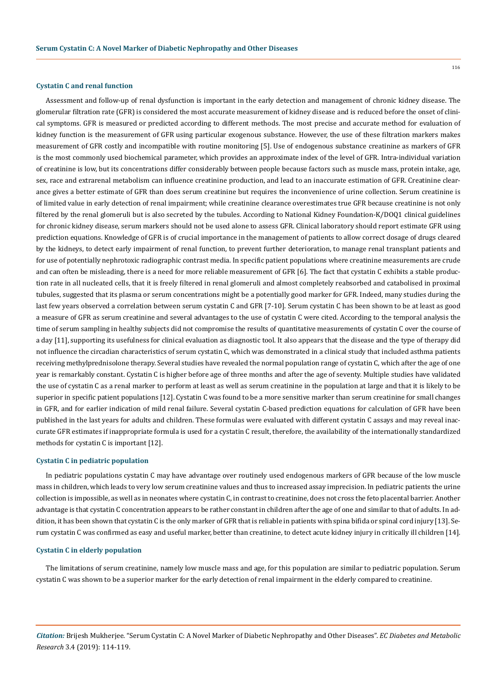#### **Cystatin C and renal function**

Assessment and follow-up of renal dysfunction is important in the early detection and management of chronic kidney disease. The glomerular filtration rate (GFR) is considered the most accurate measurement of kidney disease and is reduced before the onset of clinical symptoms. GFR is measured or predicted according to different methods. The most precise and accurate method for evaluation of kidney function is the measurement of GFR using particular exogenous substance. However, the use of these filtration markers makes measurement of GFR costly and incompatible with routine monitoring [5]. Use of endogenous substance creatinine as markers of GFR is the most commonly used biochemical parameter, which provides an approximate index of the level of GFR. Intra-individual variation of creatinine is low, but its concentrations differ considerably between people because factors such as muscle mass, protein intake, age, sex, race and extrarenal metabolism can influence creatinine production, and lead to an inaccurate estimation of GFR. Creatinine clearance gives a better estimate of GFR than does serum creatinine but requires the inconvenience of urine collection. Serum creatinine is of limited value in early detection of renal impairment; while creatinine clearance overestimates true GFR because creatinine is not only filtered by the renal glomeruli but is also secreted by the tubules. According to National Kidney Foundation-K/DOQ1 clinical guidelines for chronic kidney disease, serum markers should not be used alone to assess GFR. Clinical laboratory should report estimate GFR using prediction equations. Knowledge of GFR is of crucial importance in the management of patients to allow correct dosage of drugs cleared by the kidneys, to detect early impairment of renal function, to prevent further deterioration, to manage renal transplant patients and for use of potentially nephrotoxic radiographic contrast media. In specific patient populations where creatinine measurements are crude and can often be misleading, there is a need for more reliable measurement of GFR [6]. The fact that cystatin C exhibits a stable production rate in all nucleated cells, that it is freely filtered in renal glomeruli and almost completely reabsorbed and catabolised in proximal tubules, suggested that its plasma or serum concentrations might be a potentially good marker for GFR. Indeed, many studies during the last few years observed a correlation between serum cystatin C and GFR [7-10]. Serum cystatin C has been shown to be at least as good a measure of GFR as serum creatinine and several advantages to the use of cystatin C were cited. According to the temporal analysis the time of serum sampling in healthy subjects did not compromise the results of quantitative measurements of cystatin C over the course of a day [11], supporting its usefulness for clinical evaluation as diagnostic tool. It also appears that the disease and the type of therapy did not influence the circadian characteristics of serum cystatin C, which was demonstrated in a clinical study that included asthma patients receiving methylprednisolone therapy. Several studies have revealed the normal population range of cystatin C, which after the age of one year is remarkably constant. Cystatin C is higher before age of three months and after the age of seventy. Multiple studies have validated the use of cystatin C as a renal marker to perform at least as well as serum creatinine in the population at large and that it is likely to be superior in specific patient populations [12]. Cystatin C was found to be a more sensitive marker than serum creatinine for small changes in GFR, and for earlier indication of mild renal failure. Several cystatin C-based prediction equations for calculation of GFR have been published in the last years for adults and children. These formulas were evaluated with different cystatin C assays and may reveal inaccurate GFR estimates if inappropriate formula is used for a cystatin C result, therefore, the availability of the internationally standardized methods for cystatin C is important [12].

## **Cystatin C in pediatric population**

In pediatric populations cystatin C may have advantage over routinely used endogenous markers of GFR because of the low muscle mass in children, which leads to very low serum creatinine values and thus to increased assay imprecision. In pediatric patients the urine collection is impossible, as well as in neonates where cystatin C, in contrast to creatinine, does not cross the feto placental barrier. Another advantage is that cystatin C concentration appears to be rather constant in children after the age of one and similar to that of adults. In addition, it has been shown that cystatin C is the only marker of GFR that is reliable in patients with spina bifida or spinal cord injury [13]. Serum cystatin C was confirmed as easy and useful marker, better than creatinine, to detect acute kidney injury in critically ill children [14].

## **Cystatin C in elderly population**

The limitations of serum creatinine, namely low muscle mass and age, for this population are similar to pediatric population. Serum cystatin C was shown to be a superior marker for the early detection of renal impairment in the elderly compared to creatinine.

116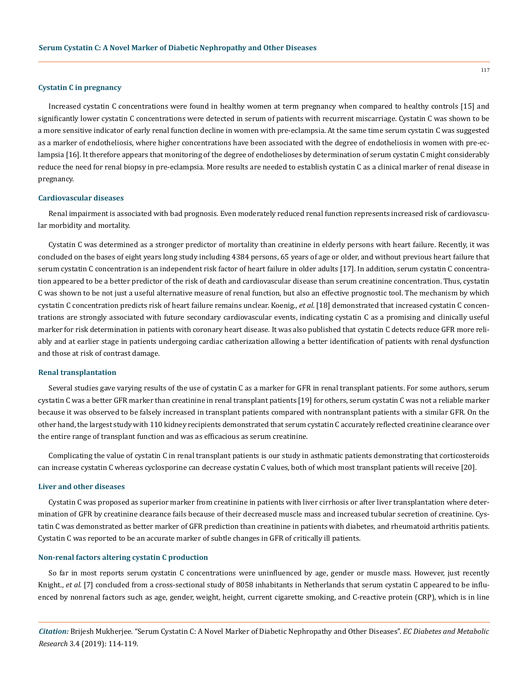### **Cystatin C in pregnancy**

Increased cystatin C concentrations were found in healthy women at term pregnancy when compared to healthy controls [15] and significantly lower cystatin C concentrations were detected in serum of patients with recurrent miscarriage. Cystatin C was shown to be a more sensitive indicator of early renal function decline in women with pre-eclampsia. At the same time serum cystatin C was suggested as a marker of endotheliosis, where higher concentrations have been associated with the degree of endotheliosis in women with pre-eclampsia [16]. It therefore appears that monitoring of the degree of endothelioses by determination of serum cystatin C might considerably reduce the need for renal biopsy in pre-eclampsia. More results are needed to establish cystatin C as a clinical marker of renal disease in pregnancy.

#### **Cardiovascular diseases**

Renal impairment is associated with bad prognosis. Even moderately reduced renal function represents increased risk of cardiovascular morbidity and mortality.

Cystatin C was determined as a stronger predictor of mortality than creatinine in elderly persons with heart failure. Recently, it was concluded on the bases of eight years long study including 4384 persons, 65 years of age or older, and without previous heart failure that serum cystatin C concentration is an independent risk factor of heart failure in older adults [17]. In addition, serum cystatin C concentration appeared to be a better predictor of the risk of death and cardiovascular disease than serum creatinine concentration. Thus, cystatin C was shown to be not just a useful alternative measure of renal function, but also an effective prognostic tool. The mechanism by which cystatin C concentration predicts risk of heart failure remains unclear. Koenig., *et al.* [18] demonstrated that increased cystatin C concentrations are strongly associated with future secondary cardiovascular events, indicating cystatin C as a promising and clinically useful marker for risk determination in patients with coronary heart disease. It was also published that cystatin C detects reduce GFR more reliably and at earlier stage in patients undergoing cardiac catherization allowing a better identification of patients with renal dysfunction and those at risk of contrast damage.

## **Renal transplantation**

Several studies gave varying results of the use of cystatin C as a marker for GFR in renal transplant patients. For some authors, serum cystatin C was a better GFR marker than creatinine in renal transplant patients [19] for others, serum cystatin C was not a reliable marker because it was observed to be falsely increased in transplant patients compared with nontransplant patients with a similar GFR. On the other hand, the largest study with 110 kidney recipients demonstrated that serum cystatin C accurately reflected creatinine clearance over the entire range of transplant function and was as efficacious as serum creatinine.

Complicating the value of cystatin C in renal transplant patients is our study in asthmatic patients demonstrating that corticosteroids can increase cystatin C whereas cyclosporine can decrease cystatin C values, both of which most transplant patients will receive [20].

## **Liver and other diseases**

Cystatin C was proposed as superior marker from creatinine in patients with liver cirrhosis or after liver transplantation where determination of GFR by creatinine clearance fails because of their decreased muscle mass and increased tubular secretion of creatinine. Cystatin C was demonstrated as better marker of GFR prediction than creatinine in patients with diabetes, and rheumatoid arthritis patients. Cystatin C was reported to be an accurate marker of subtle changes in GFR of critically ill patients.

#### **Non-renal factors altering cystatin C production**

So far in most reports serum cystatin C concentrations were uninfluenced by age, gender or muscle mass. However, just recently Knight., *et al.* [7] concluded from a cross-sectional study of 8058 inhabitants in Netherlands that serum cystatin C appeared to be influenced by nonrenal factors such as age, gender, weight, height, current cigarette smoking, and C-reactive protein (CRP), which is in line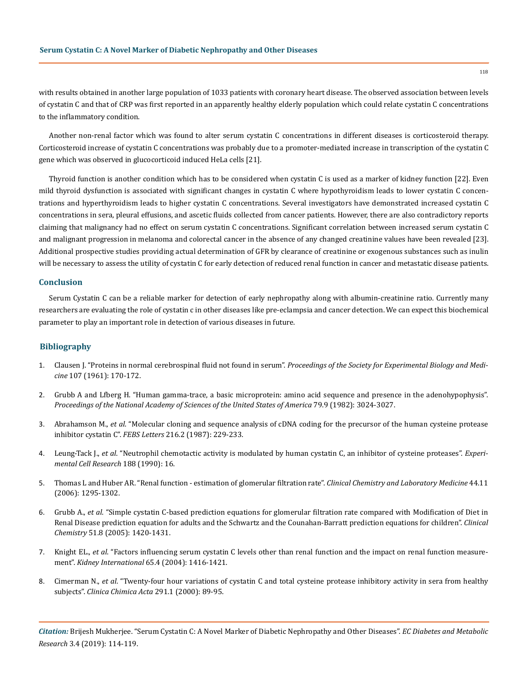with results obtained in another large population of 1033 patients with coronary heart disease. The observed association between levels of cystatin C and that of CRP was first reported in an apparently healthy elderly population which could relate cystatin C concentrations to the inflammatory condition.

Another non-renal factor which was found to alter serum cystatin C concentrations in different diseases is corticosteroid therapy. Corticosteroid increase of cystatin C concentrations was probably due to a promoter-mediated increase in transcription of the cystatin C gene which was observed in glucocorticoid induced HeLa cells [21].

Thyroid function is another condition which has to be considered when cystatin C is used as a marker of kidney function [22]. Even mild thyroid dysfunction is associated with significant changes in cystatin C where hypothyroidism leads to lower cystatin C concentrations and hyperthyroidism leads to higher cystatin C concentrations. Several investigators have demonstrated increased cystatin C concentrations in sera, pleural effusions, and ascetic fluids collected from cancer patients. However, there are also contradictory reports claiming that malignancy had no effect on serum cystatin C concentrations. Significant correlation between increased serum cystatin C and malignant progression in melanoma and colorectal cancer in the absence of any changed creatinine values have been revealed [23]. Additional prospective studies providing actual determination of GFR by clearance of creatinine or exogenous substances such as inulin will be necessary to assess the utility of cystatin C for early detection of reduced renal function in cancer and metastatic disease patients.

## **Conclusion**

Serum Cystatin C can be a reliable marker for detection of early nephropathy along with albumin-creatinine ratio. Currently many researchers are evaluating the role of cystatin c in other diseases like pre-eclampsia and cancer detection. We can expect this biochemical parameter to play an important role in detection of various diseases in future.

# **Bibliography**

- 1. [Clausen J. "Proteins in normal cerebrospinal fluid not found in serum".](https://www.ncbi.nlm.nih.gov/pubmed/13693957) *Proceedings of the Society for Experimental Biology and Medicine* [107 \(1961\): 170-172.](https://www.ncbi.nlm.nih.gov/pubmed/13693957)
- 2. [Grubb A and Lfberg H. "Human gamma-trace, a basic microprotein: amino acid sequence and presence in the adenohypophysis".](https://www.ncbi.nlm.nih.gov/pubmed/6283552) *[Proceedings of the National Academy of Sciences of the United States of America](https://www.ncbi.nlm.nih.gov/pubmed/6283552)* 79.9 (1982): 3024-3027.
- 3. Abrahamson M., *et al*[. "Molecular cloning and sequence analysis of cDNA coding for the precursor of the human cysteine protease](https://www.ncbi.nlm.nih.gov/pubmed/3495457) inhibitor cystatin C". *FEBS Letters* [216.2 \(1987\): 229-233.](https://www.ncbi.nlm.nih.gov/pubmed/3495457)
- 4. Leung-Tack J., *et al*. "Neutrophil chemotactic activity is modulated by human cystatin C, an inhibitor of cysteine proteases". *Experimental Cell Research* 188 (1990): 16.
- 5. [Thomas L and Huber AR. "Renal function estimation of glomerular filtration rate".](https://www.ncbi.nlm.nih.gov/pubmed/17087639) *Clinical Chemistry and Laboratory Medicine* 44.11 [\(2006\): 1295-1302.](https://www.ncbi.nlm.nih.gov/pubmed/17087639)
- 6. Grubb A., *et al*[. "Simple cystatin C-based prediction equations for glomerular filtration rate compared with Modification of Diet in](https://www.ncbi.nlm.nih.gov/pubmed/15961546) [Renal Disease prediction equation for adults and the Schwartz and the Counahan-Barratt prediction equations for children".](https://www.ncbi.nlm.nih.gov/pubmed/15961546) *Clinical Chemistry* [51.8 \(2005\): 1420-1431.](https://www.ncbi.nlm.nih.gov/pubmed/15961546)
- 7. Knight EL., *et al*[. "Factors influencing serum cystatin C levels other than renal function and the impact on renal function measure](https://www.ncbi.nlm.nih.gov/pubmed/15086483)ment". *Kidney International* [65.4 \(2004\): 1416-1421.](https://www.ncbi.nlm.nih.gov/pubmed/15086483)
- 8. Cimerman N., *et al*[. "Twenty-four hour variations of cystatin C and total cysteine protease inhibitory activity in sera from healthy](https://www.ncbi.nlm.nih.gov/pubmed/10612720) subjects". *[Clinica Chimica Acta](https://www.ncbi.nlm.nih.gov/pubmed/10612720)* 291.1 (2000): 89-95.

*Citation:* Brijesh Mukherjee. "Serum Cystatin C: A Novel Marker of Diabetic Nephropathy and Other Diseases". *EC Diabetes and Metabolic Research* 3.4 (2019): 114-119.

118